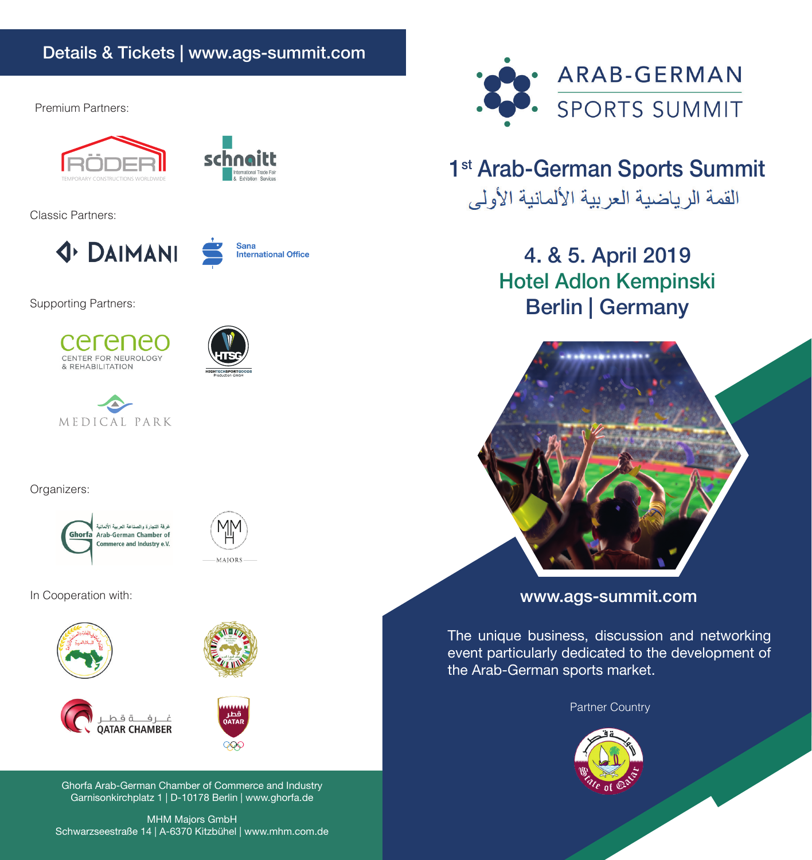# Details & Tickets | www.ags-summit.com

Premium Partners:



Classic Partners:





Supporting Partners:







## Organizers:

غرفة التجارة والصناعة العربية الألمانية Ghorfa Arab-German Chamber of Commerce and Industry e.V.



In Cooperation with:









Ghorfa Arab-German Chamber of Commerce and Industry Garnisonkirchplatz 1 | D-10178 Berlin | www.ghorfa.de

MHM Majors GmbH Schwarzseestraße 14 | A-6370 Kitzbühel | www.mhm.com.de



# 1<sup>st</sup> Arab-German Sports Summit القمة الر ياضية العر بية الألمانية الأولى

4. & 5. April 2019 Hotel Adlon Kempinski Berlin | Germany



www.ags-summit.com

The unique business, discussion and networking event particularly dedicated to the development of the Arab-German sports market.

Partner Country